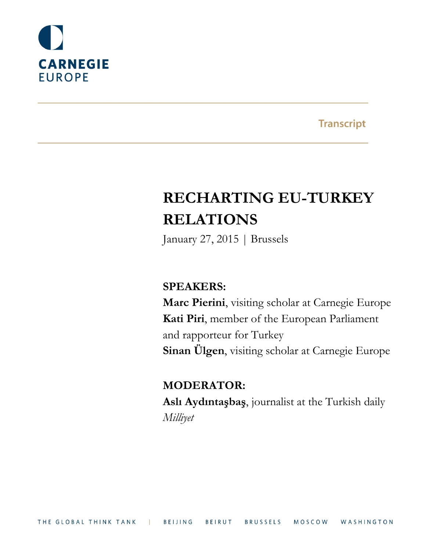

**Transcript** 

# **RECHARTING EU-TURKEY RELATIONS**

January 27, 2015 | Brussels

### **SPEAKERS:**

**Marc Pierini**, visiting scholar at Carnegie Europe **Kati Piri**, member of the European Parliament and rapporteur for Turkey **Sinan Ülgen**, visiting scholar at Carnegie Europe

## **MODERATOR:**

**Aslı Aydıntaşbaş**, journalist at the Turkish daily *Milliyet*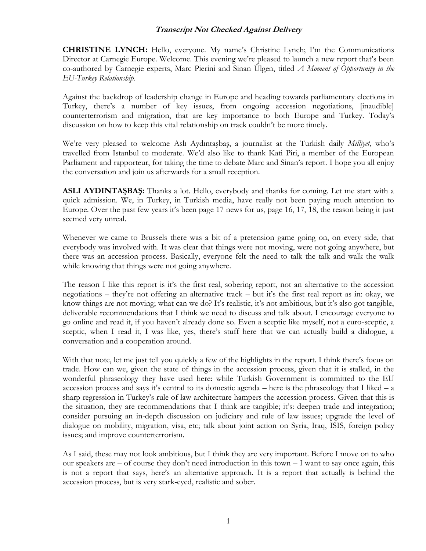**CHRISTINE LYNCH:** Hello, everyone. My name's Christine Lynch; I'm the Communications Director at Carnegie Europe. Welcome. This evening we're pleased to launch a new report that's been co-authored by Carnegie experts, Marc Pierini and Sinan Ülgen, titled *A Moment of Opportunity in the EU-Turkey Relationship*.

Against the backdrop of leadership change in Europe and heading towards parliamentary elections in Turkey, there's a number of key issues, from ongoing accession negotiations, [inaudible] counterterrorism and migration, that are key importance to both Europe and Turkey. Today's discussion on how to keep this vital relationship on track couldn't be more timely.

We're very pleased to welcome Aslı Aydıntaşbaş, a journalist at the Turkish daily *Milliyet*, who's travelled from Istanbul to moderate. We'd also like to thank Kati Piri, a member of the European Parliament and rapporteur, for taking the time to debate Marc and Sinan's report. I hope you all enjoy the conversation and join us afterwards for a small reception.

**ASLI AYDINTAŞBAŞ:** Thanks a lot. Hello, everybody and thanks for coming. Let me start with a quick admission. We, in Turkey, in Turkish media, have really not been paying much attention to Europe. Over the past few years it's been page 17 news for us, page 16, 17, 18, the reason being it just seemed very unreal.

Whenever we came to Brussels there was a bit of a pretension game going on, on every side, that everybody was involved with. It was clear that things were not moving, were not going anywhere, but there was an accession process. Basically, everyone felt the need to talk the talk and walk the walk while knowing that things were not going anywhere.

The reason I like this report is it's the first real, sobering report, not an alternative to the accession negotiations – they're not offering an alternative track – but it's the first real report as in: okay, we know things are not moving; what can we do? It's realistic, it's not ambitious, but it's also got tangible, deliverable recommendations that I think we need to discuss and talk about. I encourage everyone to go online and read it, if you haven't already done so. Even a sceptic like myself, not a euro-sceptic, a sceptic, when I read it, I was like, yes, there's stuff here that we can actually build a dialogue, a conversation and a cooperation around.

With that note, let me just tell you quickly a few of the highlights in the report. I think there's focus on trade. How can we, given the state of things in the accession process, given that it is stalled, in the wonderful phraseology they have used here: while Turkish Government is committed to the EU accession process and says it's central to its domestic agenda – here is the phraseology that I liked – a sharp regression in Turkey's rule of law architecture hampers the accession process. Given that this is the situation, they are recommendations that I think are tangible; it's: deepen trade and integration; consider pursuing an in-depth discussion on judiciary and rule of law issues; upgrade the level of dialogue on mobility, migration, visa, etc; talk about joint action on Syria, Iraq, ISIS, foreign policy issues; and improve counterterrorism.

As I said, these may not look ambitious, but I think they are very important. Before I move on to who our speakers are – of course they don't need introduction in this town – I want to say once again, this is not a report that says, here's an alternative approach. It is a report that actually is behind the accession process, but is very stark-eyed, realistic and sober.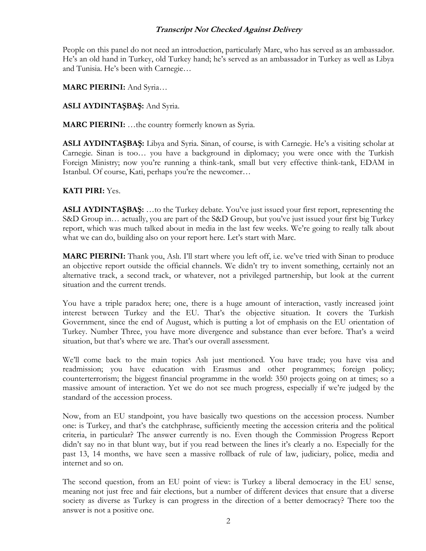People on this panel do not need an introduction, particularly Marc, who has served as an ambassador. He's an old hand in Turkey, old Turkey hand; he's served as an ambassador in Turkey as well as Libya and Tunisia. He's been with Carnegie…

**MARC PIERINI:** And Syria…

**ASLI AYDINTAŞBAŞ:** And Syria.

**MARC PIERINI:** …the country formerly known as Syria.

**ASLI AYDINTAŞBAŞ:** Libya and Syria. Sinan, of course, is with Carnegie. He's a visiting scholar at Carnegie. Sinan is too… you have a background in diplomacy; you were once with the Turkish Foreign Ministry; now you're running a think-tank, small but very effective think-tank, EDAM in Istanbul. Of course, Kati, perhaps you're the newcomer…

#### **KATI PIRI:** Yes.

**ASLI AYDINTAŞBAŞ:** …to the Turkey debate. You've just issued your first report, representing the S&D Group in… actually, you are part of the S&D Group, but you've just issued your first big Turkey report, which was much talked about in media in the last few weeks. We're going to really talk about what we can do, building also on your report here. Let's start with Marc.

**MARC PIERINI:** Thank you, Aslı. I'll start where you left off, i.e. we've tried with Sinan to produce an objective report outside the official channels. We didn't try to invent something, certainly not an alternative track, a second track, or whatever, not a privileged partnership, but look at the current situation and the current trends.

You have a triple paradox here; one, there is a huge amount of interaction, vastly increased joint interest between Turkey and the EU. That's the objective situation. It covers the Turkish Government, since the end of August, which is putting a lot of emphasis on the EU orientation of Turkey. Number Three, you have more divergence and substance than ever before. That's a weird situation, but that's where we are. That's our overall assessment.

We'll come back to the main topics Aslı just mentioned. You have trade; you have visa and readmission; you have education with Erasmus and other programmes; foreign policy; counterterrorism; the biggest financial programme in the world: 350 projects going on at times; so a massive amount of interaction. Yet we do not see much progress, especially if we're judged by the standard of the accession process.

Now, from an EU standpoint, you have basically two questions on the accession process. Number one: is Turkey, and that's the catchphrase, sufficiently meeting the accession criteria and the political criteria, in particular? The answer currently is no. Even though the Commission Progress Report didn't say no in that blunt way, but if you read between the lines it's clearly a no. Especially for the past 13, 14 months, we have seen a massive rollback of rule of law, judiciary, police, media and internet and so on.

The second question, from an EU point of view: is Turkey a liberal democracy in the EU sense, meaning not just free and fair elections, but a number of different devices that ensure that a diverse society as diverse as Turkey is can progress in the direction of a better democracy? There too the answer is not a positive one.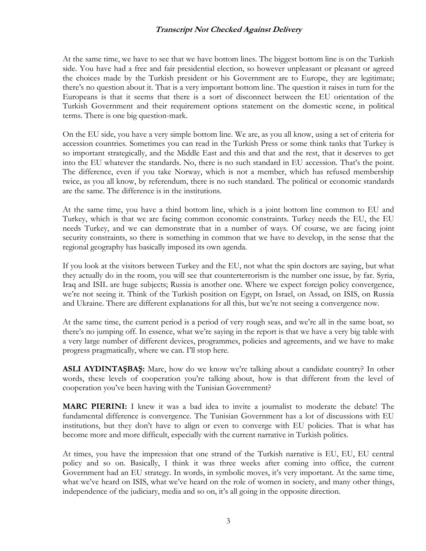At the same time, we have to see that we have bottom lines. The biggest bottom line is on the Turkish side. You have had a free and fair presidential election, so however unpleasant or pleasant or agreed the choices made by the Turkish president or his Government are to Europe, they are legitimate; there's no question about it. That is a very important bottom line. The question it raises in turn for the Europeans is that it seems that there is a sort of disconnect between the EU orientation of the Turkish Government and their requirement options statement on the domestic scene, in political terms. There is one big question-mark.

On the EU side, you have a very simple bottom line. We are, as you all know, using a set of criteria for accession countries. Sometimes you can read in the Turkish Press or some think tanks that Turkey is so important strategically, and the Middle East and this and that and the rest, that it deserves to get into the EU whatever the standards. No, there is no such standard in EU accession. That's the point. The difference, even if you take Norway, which is not a member, which has refused membership twice, as you all know, by referendum, there is no such standard. The political or economic standards are the same. The difference is in the institutions.

At the same time, you have a third bottom line, which is a joint bottom line common to EU and Turkey, which is that we are facing common economic constraints. Turkey needs the EU, the EU needs Turkey, and we can demonstrate that in a number of ways. Of course, we are facing joint security constraints, so there is something in common that we have to develop, in the sense that the regional geography has basically imposed its own agenda.

If you look at the visitors between Turkey and the EU, not what the spin doctors are saying, but what they actually do in the room, you will see that counterterrorism is the number one issue, by far. Syria, Iraq and ISIL are huge subjects; Russia is another one. Where we expect foreign policy convergence, we're not seeing it. Think of the Turkish position on Egypt, on Israel, on Assad, on ISIS, on Russia and Ukraine. There are different explanations for all this, but we're not seeing a convergence now.

At the same time, the current period is a period of very rough seas, and we're all in the same boat, so there's no jumping off. In essence, what we're saying in the report is that we have a very big table with a very large number of different devices, programmes, policies and agreements, and we have to make progress pragmatically, where we can. I'll stop here.

**ASLI AYDINTAŞBAŞ:** Marc, how do we know we're talking about a candidate country? In other words, these levels of cooperation you're talking about, how is that different from the level of cooperation you've been having with the Tunisian Government?

**MARC PIERINI:** I knew it was a bad idea to invite a journalist to moderate the debate! The fundamental difference is convergence. The Tunisian Government has a lot of discussions with EU institutions, but they don't have to align or even to converge with EU policies. That is what has become more and more difficult, especially with the current narrative in Turkish politics.

At times, you have the impression that one strand of the Turkish narrative is EU, EU, EU central policy and so on. Basically, I think it was three weeks after coming into office, the current Government had an EU strategy. In words, in symbolic moves, it's very important. At the same time, what we've heard on ISIS, what we've heard on the role of women in society, and many other things, independence of the judiciary, media and so on, it's all going in the opposite direction.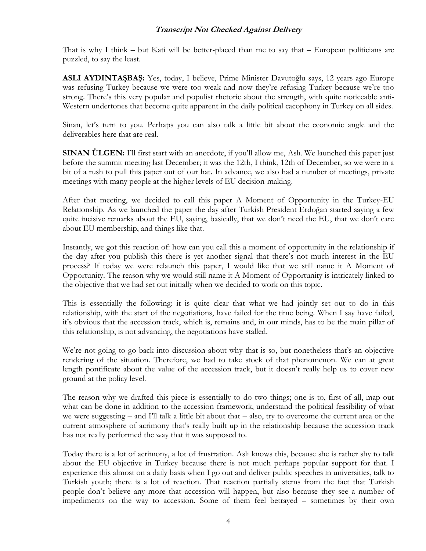That is why I think – but Kati will be better-placed than me to say that – European politicians are puzzled, to say the least.

**ASLI AYDINTAŞBAŞ:** Yes, today, I believe, Prime Minister Davutoğlu says, 12 years ago Europe was refusing Turkey because we were too weak and now they're refusing Turkey because we're too strong. There's this very popular and populist rhetoric about the strength, with quite noticeable anti-Western undertones that become quite apparent in the daily political cacophony in Turkey on all sides.

Sinan, let's turn to you. Perhaps you can also talk a little bit about the economic angle and the deliverables here that are real.

**SINAN ÜLGEN:** I'll first start with an anecdote, if you'll allow me, Asli. We launched this paper just before the summit meeting last December; it was the 12th, I think, 12th of December, so we were in a bit of a rush to pull this paper out of our hat. In advance, we also had a number of meetings, private meetings with many people at the higher levels of EU decision-making.

After that meeting, we decided to call this paper A Moment of Opportunity in the Turkey-EU Relationship. As we launched the paper the day after Turkish President Erdoğan started saying a few quite incisive remarks about the EU, saying, basically, that we don't need the EU, that we don't care about EU membership, and things like that.

Instantly, we got this reaction of: how can you call this a moment of opportunity in the relationship if the day after you publish this there is yet another signal that there's not much interest in the EU process? If today we were relaunch this paper, I would like that we still name it A Moment of Opportunity. The reason why we would still name it A Moment of Opportunity is intricately linked to the objective that we had set out initially when we decided to work on this topic.

This is essentially the following: it is quite clear that what we had jointly set out to do in this relationship, with the start of the negotiations, have failed for the time being. When I say have failed, it's obvious that the accession track, which is, remains and, in our minds, has to be the main pillar of this relationship, is not advancing, the negotiations have stalled.

We're not going to go back into discussion about why that is so, but nonetheless that's an objective rendering of the situation. Therefore, we had to take stock of that phenomenon. We can at great length pontificate about the value of the accession track, but it doesn't really help us to cover new ground at the policy level.

The reason why we drafted this piece is essentially to do two things; one is to, first of all, map out what can be done in addition to the accession framework, understand the political feasibility of what we were suggesting – and I'll talk a little bit about that – also, try to overcome the current area or the current atmosphere of acrimony that's really built up in the relationship because the accession track has not really performed the way that it was supposed to.

Today there is a lot of acrimony, a lot of frustration. Aslı knows this, because she is rather shy to talk about the EU objective in Turkey because there is not much perhaps popular support for that. I experience this almost on a daily basis when I go out and deliver public speeches in universities, talk to Turkish youth; there is a lot of reaction. That reaction partially stems from the fact that Turkish people don't believe any more that accession will happen, but also because they see a number of impediments on the way to accession. Some of them feel betrayed – sometimes by their own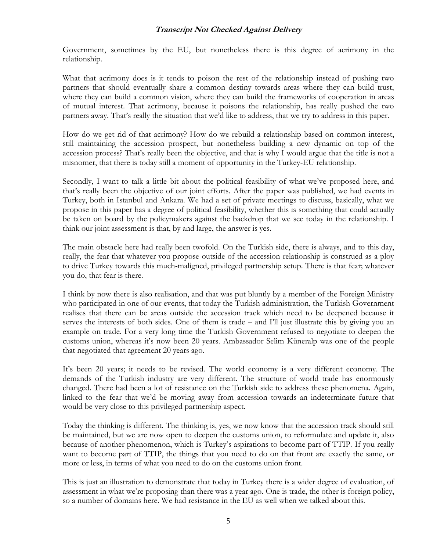Government, sometimes by the EU, but nonetheless there is this degree of acrimony in the relationship.

What that acrimony does is it tends to poison the rest of the relationship instead of pushing two partners that should eventually share a common destiny towards areas where they can build trust, where they can build a common vision, where they can build the frameworks of cooperation in areas of mutual interest. That acrimony, because it poisons the relationship, has really pushed the two partners away. That's really the situation that we'd like to address, that we try to address in this paper.

How do we get rid of that acrimony? How do we rebuild a relationship based on common interest, still maintaining the accession prospect, but nonetheless building a new dynamic on top of the accession process? That's really been the objective, and that is why I would argue that the title is not a misnomer, that there is today still a moment of opportunity in the Turkey-EU relationship.

Secondly, I want to talk a little bit about the political feasibility of what we've proposed here, and that's really been the objective of our joint efforts. After the paper was published, we had events in Turkey, both in Istanbul and Ankara. We had a set of private meetings to discuss, basically, what we propose in this paper has a degree of political feasibility, whether this is something that could actually be taken on board by the policymakers against the backdrop that we see today in the relationship. I think our joint assessment is that, by and large, the answer is yes.

The main obstacle here had really been twofold. On the Turkish side, there is always, and to this day, really, the fear that whatever you propose outside of the accession relationship is construed as a ploy to drive Turkey towards this much-maligned, privileged partnership setup. There is that fear; whatever you do, that fear is there.

I think by now there is also realisation, and that was put bluntly by a member of the Foreign Ministry who participated in one of our events, that today the Turkish administration, the Turkish Government realises that there can be areas outside the accession track which need to be deepened because it serves the interests of both sides. One of them is trade – and I'll just illustrate this by giving you an example on trade. For a very long time the Turkish Government refused to negotiate to deepen the customs union, whereas it's now been 20 years. Ambassador Selim Küneralp was one of the people that negotiated that agreement 20 years ago.

It's been 20 years; it needs to be revised. The world economy is a very different economy. The demands of the Turkish industry are very different. The structure of world trade has enormously changed. There had been a lot of resistance on the Turkish side to address these phenomena. Again, linked to the fear that we'd be moving away from accession towards an indeterminate future that would be very close to this privileged partnership aspect.

Today the thinking is different. The thinking is, yes, we now know that the accession track should still be maintained, but we are now open to deepen the customs union, to reformulate and update it, also because of another phenomenon, which is Turkey's aspirations to become part of TTIP. If you really want to become part of TTIP, the things that you need to do on that front are exactly the same, or more or less, in terms of what you need to do on the customs union front.

This is just an illustration to demonstrate that today in Turkey there is a wider degree of evaluation, of assessment in what we're proposing than there was a year ago. One is trade, the other is foreign policy, so a number of domains here. We had resistance in the EU as well when we talked about this.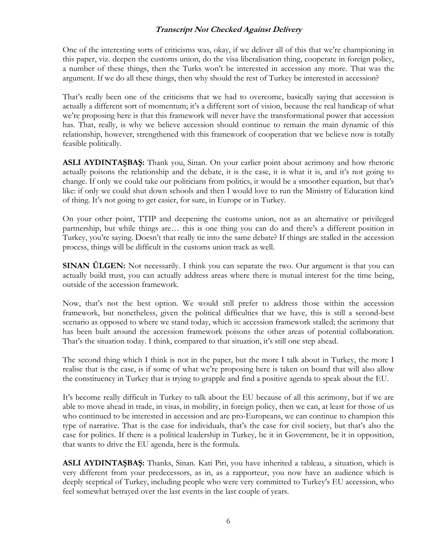One of the interesting sorts of criticisms was, okay, if we deliver all of this that we're championing in this paper, viz. deepen the customs union, do the visa liberalisation thing, cooperate in foreign policy, a number of these things, then the Turks won't be interested in accession any more. That was the argument. If we do all these things, then why should the rest of Turkey be interested in accession?

That's really been one of the criticisms that we had to overcome, basically saying that accession is actually a different sort of momentum; it's a different sort of vision, because the real handicap of what we're proposing here is that this framework will never have the transformational power that accession has. That, really, is why we believe accession should continue to remain the main dynamic of this relationship, however, strengthened with this framework of cooperation that we believe now is totally feasible politically.

**ASLI AYDINTAŞBAŞ:** Thank you, Sinan. On your earlier point about acrimony and how rhetoric actually poisons the relationship and the debate, it is the case, it is what it is, and it's not going to change. If only we could take our politicians from politics, it would be a smoother equation, but that's like: if only we could shut down schools and then I would love to run the Ministry of Education kind of thing. It's not going to get easier, for sure, in Europe or in Turkey.

On your other point, TTIP and deepening the customs union, not as an alternative or privileged partnership, but while things are… this is one thing you can do and there's a different position in Turkey, you're saying. Doesn't that really tie into the same debate? If things are stalled in the accession process, things will be difficult in the customs union track as well.

**SINAN ÜLGEN:** Not necessarily. I think you can separate the two. Our argument is that you can actually build trust, you can actually address areas where there is mutual interest for the time being, outside of the accession framework.

Now, that's not the best option. We would still prefer to address those within the accession framework, but nonetheless, given the political difficulties that we have, this is still a second-best scenario as opposed to where we stand today, which is: accession framework stalled; the acrimony that has been built around the accession framework poisons the other areas of potential collaboration. That's the situation today. I think, compared to that situation, it's still one step ahead.

The second thing which I think is not in the paper, but the more I talk about in Turkey, the more I realise that is the case, is if some of what we're proposing here is taken on board that will also allow the constituency in Turkey that is trying to grapple and find a positive agenda to speak about the EU.

It's become really difficult in Turkey to talk about the EU because of all this acrimony, but if we are able to move ahead in trade, in visas, in mobility, in foreign policy, then we can, at least for those of us who continued to be interested in accession and are pro-Europeans, we can continue to champion this type of narrative. That is the case for individuals, that's the case for civil society, but that's also the case for politics. If there is a political leadership in Turkey, be it in Government, be it in opposition, that wants to drive the EU agenda, here is the formula.

**ASLI AYDINTAŞBAŞ:** Thanks, Sinan. Kati Piri, you have inherited a tableau, a situation, which is very different from your predecessors, as in, as a rapporteur, you now have an audience which is deeply sceptical of Turkey, including people who were very committed to Turkey's EU accession, who feel somewhat betrayed over the last events in the last couple of years.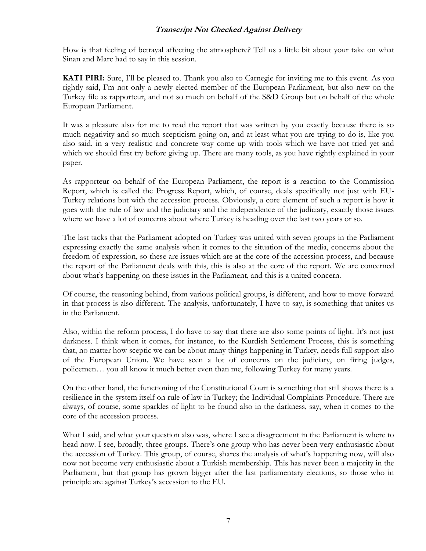How is that feeling of betrayal affecting the atmosphere? Tell us a little bit about your take on what Sinan and Marc had to say in this session.

**KATI PIRI:** Sure, I'll be pleased to. Thank you also to Carnegie for inviting me to this event. As you rightly said, I'm not only a newly-elected member of the European Parliament, but also new on the Turkey file as rapporteur, and not so much on behalf of the S&D Group but on behalf of the whole European Parliament.

It was a pleasure also for me to read the report that was written by you exactly because there is so much negativity and so much scepticism going on, and at least what you are trying to do is, like you also said, in a very realistic and concrete way come up with tools which we have not tried yet and which we should first try before giving up. There are many tools, as you have rightly explained in your paper.

As rapporteur on behalf of the European Parliament, the report is a reaction to the Commission Report, which is called the Progress Report, which, of course, deals specifically not just with EU-Turkey relations but with the accession process. Obviously, a core element of such a report is how it goes with the rule of law and the judiciary and the independence of the judiciary, exactly those issues where we have a lot of concerns about where Turkey is heading over the last two years or so.

The last tacks that the Parliament adopted on Turkey was united with seven groups in the Parliament expressing exactly the same analysis when it comes to the situation of the media, concerns about the freedom of expression, so these are issues which are at the core of the accession process, and because the report of the Parliament deals with this, this is also at the core of the report. We are concerned about what's happening on these issues in the Parliament, and this is a united concern.

Of course, the reasoning behind, from various political groups, is different, and how to move forward in that process is also different. The analysis, unfortunately, I have to say, is something that unites us in the Parliament.

Also, within the reform process, I do have to say that there are also some points of light. It's not just darkness. I think when it comes, for instance, to the Kurdish Settlement Process, this is something that, no matter how sceptic we can be about many things happening in Turkey, needs full support also of the European Union. We have seen a lot of concerns on the judiciary, on firing judges, policemen… you all know it much better even than me, following Turkey for many years.

On the other hand, the functioning of the Constitutional Court is something that still shows there is a resilience in the system itself on rule of law in Turkey; the Individual Complaints Procedure. There are always, of course, some sparkles of light to be found also in the darkness, say, when it comes to the core of the accession process.

What I said, and what your question also was, where I see a disagreement in the Parliament is where to head now. I see, broadly, three groups. There's one group who has never been very enthusiastic about the accession of Turkey. This group, of course, shares the analysis of what's happening now, will also now not become very enthusiastic about a Turkish membership. This has never been a majority in the Parliament, but that group has grown bigger after the last parliamentary elections, so those who in principle are against Turkey's accession to the EU.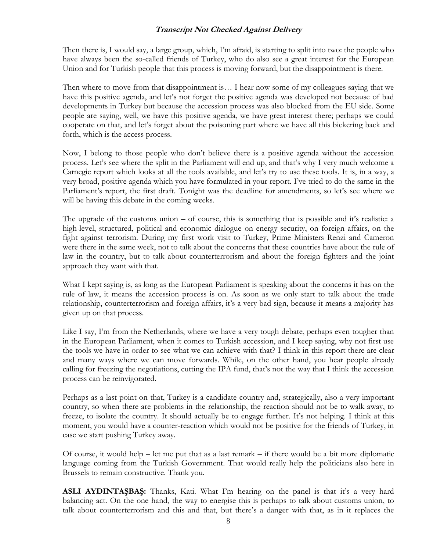Then there is, I would say, a large group, which, I'm afraid, is starting to split into two: the people who have always been the so-called friends of Turkey, who do also see a great interest for the European Union and for Turkish people that this process is moving forward, but the disappointment is there.

Then where to move from that disappointment is… I hear now some of my colleagues saying that we have this positive agenda, and let's not forget the positive agenda was developed not because of bad developments in Turkey but because the accession process was also blocked from the EU side. Some people are saying, well, we have this positive agenda, we have great interest there; perhaps we could cooperate on that, and let's forget about the poisoning part where we have all this bickering back and forth, which is the access process.

Now, I belong to those people who don't believe there is a positive agenda without the accession process. Let's see where the split in the Parliament will end up, and that's why I very much welcome a Carnegie report which looks at all the tools available, and let's try to use these tools. It is, in a way, a very broad, positive agenda which you have formulated in your report. I've tried to do the same in the Parliament's report, the first draft. Tonight was the deadline for amendments, so let's see where we will be having this debate in the coming weeks.

The upgrade of the customs union – of course, this is something that is possible and it's realistic: a high-level, structured, political and economic dialogue on energy security, on foreign affairs, on the fight against terrorism. During my first work visit to Turkey, Prime Ministers Renzi and Cameron were there in the same week, not to talk about the concerns that these countries have about the rule of law in the country, but to talk about counterterrorism and about the foreign fighters and the joint approach they want with that.

What I kept saying is, as long as the European Parliament is speaking about the concerns it has on the rule of law, it means the accession process is on. As soon as we only start to talk about the trade relationship, counterterrorism and foreign affairs, it's a very bad sign, because it means a majority has given up on that process.

Like I say, I'm from the Netherlands, where we have a very tough debate, perhaps even tougher than in the European Parliament, when it comes to Turkish accession, and I keep saying, why not first use the tools we have in order to see what we can achieve with that? I think in this report there are clear and many ways where we can move forwards. While, on the other hand, you hear people already calling for freezing the negotiations, cutting the IPA fund, that's not the way that I think the accession process can be reinvigorated.

Perhaps as a last point on that, Turkey is a candidate country and, strategically, also a very important country, so when there are problems in the relationship, the reaction should not be to walk away, to freeze, to isolate the country. It should actually be to engage further. It's not helping. I think at this moment, you would have a counter-reaction which would not be positive for the friends of Turkey, in case we start pushing Turkey away.

Of course, it would help  $-$  let me put that as a last remark  $-$  if there would be a bit more diplomatic language coming from the Turkish Government. That would really help the politicians also here in Brussels to remain constructive. Thank you.

**ASLI AYDINTAŞBAŞ:** Thanks, Kati. What I'm hearing on the panel is that it's a very hard balancing act. On the one hand, the way to energise this is perhaps to talk about customs union, to talk about counterterrorism and this and that, but there's a danger with that, as in it replaces the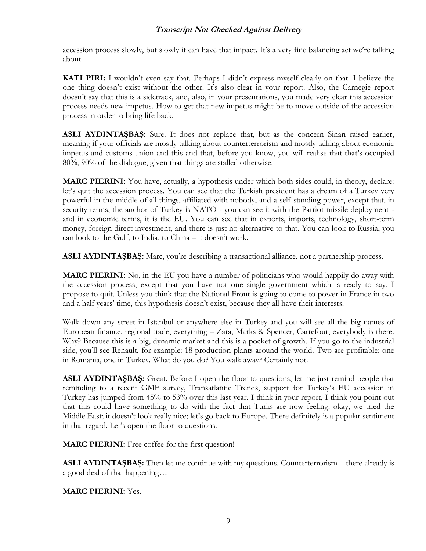accession process slowly, but slowly it can have that impact. It's a very fine balancing act we're talking about.

**KATI PIRI:** I wouldn't even say that. Perhaps I didn't express myself clearly on that. I believe the one thing doesn't exist without the other. It's also clear in your report. Also, the Carnegie report doesn't say that this is a sidetrack, and, also, in your presentations, you made very clear this accession process needs new impetus. How to get that new impetus might be to move outside of the accession process in order to bring life back.

**ASLI AYDINTAŞBAŞ:** Sure. It does not replace that, but as the concern Sinan raised earlier, meaning if your officials are mostly talking about counterterrorism and mostly talking about economic impetus and customs union and this and that, before you know, you will realise that that's occupied 80%, 90% of the dialogue, given that things are stalled otherwise.

**MARC PIERINI:** You have, actually, a hypothesis under which both sides could, in theory, declare: let's quit the accession process. You can see that the Turkish president has a dream of a Turkey very powerful in the middle of all things, affiliated with nobody, and a self-standing power, except that, in security terms, the anchor of Turkey is NATO - you can see it with the Patriot missile deployment and in economic terms, it is the EU. You can see that in exports, imports, technology, short-term money, foreign direct investment, and there is just no alternative to that. You can look to Russia, you can look to the Gulf, to India, to China – it doesn't work.

**ASLI AYDINTAŞBAŞ:** Marc, you're describing a transactional alliance, not a partnership process.

**MARC PIERINI:** No, in the EU you have a number of politicians who would happily do away with the accession process, except that you have not one single government which is ready to say, I propose to quit. Unless you think that the National Front is going to come to power in France in two and a half years' time, this hypothesis doesn't exist, because they all have their interests.

Walk down any street in Istanbul or anywhere else in Turkey and you will see all the big names of European finance, regional trade, everything – Zara, Marks & Spencer, Carrefour, everybody is there. Why? Because this is a big, dynamic market and this is a pocket of growth. If you go to the industrial side, you'll see Renault, for example: 18 production plants around the world. Two are profitable: one in Romania, one in Turkey. What do you do? You walk away? Certainly not.

**ASLI AYDINTAŞBAŞ:** Great. Before I open the floor to questions, let me just remind people that reminding to a recent GMF survey, Transatlantic Trends, support for Turkey's EU accession in Turkey has jumped from 45% to 53% over this last year. I think in your report, I think you point out that this could have something to do with the fact that Turks are now feeling: okay, we tried the Middle East; it doesn't look really nice; let's go back to Europe. There definitely is a popular sentiment in that regard. Let's open the floor to questions.

**MARC PIERINI:** Free coffee for the first question!

**ASLI AYDINTAŞBAŞ:** Then let me continue with my questions. Counterterrorism – there already is a good deal of that happening…

**MARC PIERINI:** Yes.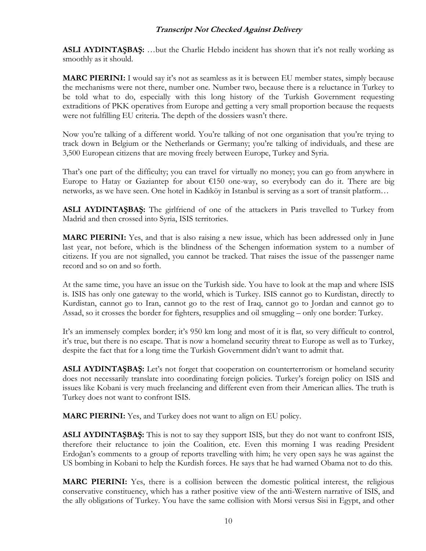**ASLI AYDINTAŞBAŞ:** …but the Charlie Hebdo incident has shown that it's not really working as smoothly as it should.

**MARC PIERINI:** I would say it's not as seamless as it is between EU member states, simply because the mechanisms were not there, number one. Number two, because there is a reluctance in Turkey to be told what to do, especially with this long history of the Turkish Government requesting extraditions of PKK operatives from Europe and getting a very small proportion because the requests were not fulfilling EU criteria. The depth of the dossiers wasn't there.

Now you're talking of a different world. You're talking of not one organisation that you're trying to track down in Belgium or the Netherlands or Germany; you're talking of individuals, and these are 3,500 European citizens that are moving freely between Europe, Turkey and Syria.

That's one part of the difficulty; you can travel for virtually no money; you can go from anywhere in Europe to Hatay or Gaziantep for about  $E150$  one-way, so everybody can do it. There are big networks, as we have seen. One hotel in Kadıköy in Istanbul is serving as a sort of transit platform…

**ASLI AYDINTAŞBAŞ:** The girlfriend of one of the attackers in Paris travelled to Turkey from Madrid and then crossed into Syria, ISIS territories.

**MARC PIERINI:** Yes, and that is also raising a new issue, which has been addressed only in June last year, not before, which is the blindness of the Schengen information system to a number of citizens. If you are not signalled, you cannot be tracked. That raises the issue of the passenger name record and so on and so forth.

At the same time, you have an issue on the Turkish side. You have to look at the map and where ISIS is. ISIS has only one gateway to the world, which is Turkey. ISIS cannot go to Kurdistan, directly to Kurdistan, cannot go to Iran, cannot go to the rest of Iraq, cannot go to Jordan and cannot go to Assad, so it crosses the border for fighters, resupplies and oil smuggling – only one border: Turkey.

It's an immensely complex border; it's 950 km long and most of it is flat, so very difficult to control, it's true, but there is no escape. That is now a homeland security threat to Europe as well as to Turkey, despite the fact that for a long time the Turkish Government didn't want to admit that.

**ASLI AYDINTAŞBAŞ:** Let's not forget that cooperation on counterterrorism or homeland security does not necessarily translate into coordinating foreign policies. Turkey's foreign policy on ISIS and issues like Kobani is very much freelancing and different even from their American allies. The truth is Turkey does not want to confront ISIS.

**MARC PIERINI:** Yes, and Turkey does not want to align on EU policy.

**ASLI AYDINTAŞBAŞ:** This is not to say they support ISIS, but they do not want to confront ISIS, therefore their reluctance to join the Coalition, etc. Even this morning I was reading President Erdoğan's comments to a group of reports travelling with him; he very open says he was against the US bombing in Kobani to help the Kurdish forces. He says that he had warned Obama not to do this.

**MARC PIERINI:** Yes, there is a collision between the domestic political interest, the religious conservative constituency, which has a rather positive view of the anti-Western narrative of ISIS, and the ally obligations of Turkey. You have the same collision with Morsi versus Sisi in Egypt, and other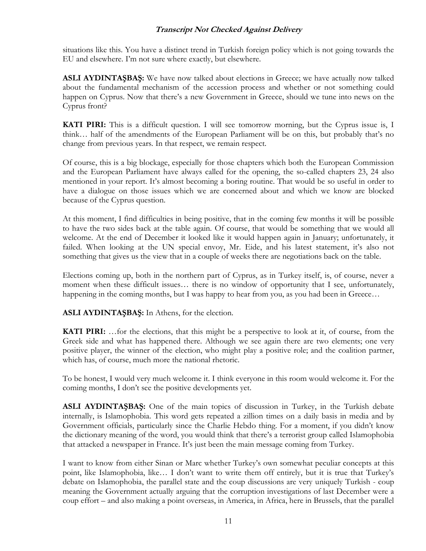situations like this. You have a distinct trend in Turkish foreign policy which is not going towards the EU and elsewhere. I'm not sure where exactly, but elsewhere.

**ASLI AYDINTAŞBAŞ:** We have now talked about elections in Greece; we have actually now talked about the fundamental mechanism of the accession process and whether or not something could happen on Cyprus. Now that there's a new Government in Greece, should we tune into news on the Cyprus front?

**KATI PIRI:** This is a difficult question. I will see tomorrow morning, but the Cyprus issue is, I think… half of the amendments of the European Parliament will be on this, but probably that's no change from previous years. In that respect, we remain respect.

Of course, this is a big blockage, especially for those chapters which both the European Commission and the European Parliament have always called for the opening, the so-called chapters 23, 24 also mentioned in your report. It's almost becoming a boring routine. That would be so useful in order to have a dialogue on those issues which we are concerned about and which we know are blocked because of the Cyprus question.

At this moment, I find difficulties in being positive, that in the coming few months it will be possible to have the two sides back at the table again. Of course, that would be something that we would all welcome. At the end of December it looked like it would happen again in January; unfortunately, it failed. When looking at the UN special envoy, Mr. Eide, and his latest statement, it's also not something that gives us the view that in a couple of weeks there are negotiations back on the table.

Elections coming up, both in the northern part of Cyprus, as in Turkey itself, is, of course, never a moment when these difficult issues… there is no window of opportunity that I see, unfortunately, happening in the coming months, but I was happy to hear from you, as you had been in Greece...

**ASLI AYDINTAŞBAŞ:** In Athens, for the election.

**KATI PIRI:** …for the elections, that this might be a perspective to look at it, of course, from the Greek side and what has happened there. Although we see again there are two elements; one very positive player, the winner of the election, who might play a positive role; and the coalition partner, which has, of course, much more the national rhetoric.

To be honest, I would very much welcome it. I think everyone in this room would welcome it. For the coming months, I don't see the positive developments yet.

**ASLI AYDINTAŞBAŞ:** One of the main topics of discussion in Turkey, in the Turkish debate internally, is Islamophobia. This word gets repeated a zillion times on a daily basis in media and by Government officials, particularly since the Charlie Hebdo thing. For a moment, if you didn't know the dictionary meaning of the word, you would think that there's a terrorist group called Islamophobia that attacked a newspaper in France. It's just been the main message coming from Turkey.

I want to know from either Sinan or Marc whether Turkey's own somewhat peculiar concepts at this point, like Islamophobia, like… I don't want to write them off entirely, but it is true that Turkey's debate on Islamophobia, the parallel state and the coup discussions are very uniquely Turkish - coup meaning the Government actually arguing that the corruption investigations of last December were a coup effort – and also making a point overseas, in America, in Africa, here in Brussels, that the parallel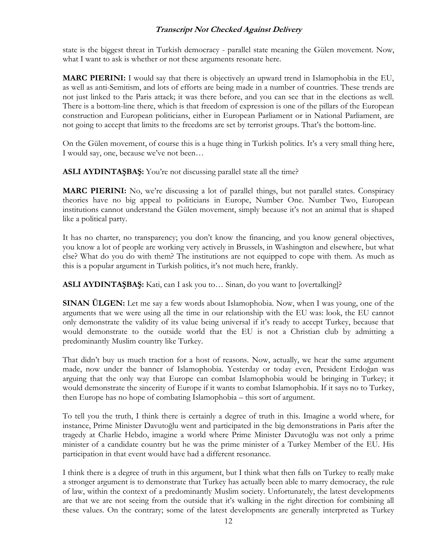state is the biggest threat in Turkish democracy - parallel state meaning the Gülen movement. Now, what I want to ask is whether or not these arguments resonate here.

**MARC PIERINI:** I would say that there is objectively an upward trend in Islamophobia in the EU, as well as anti-Semitism, and lots of efforts are being made in a number of countries. These trends are not just linked to the Paris attack; it was there before, and you can see that in the elections as well. There is a bottom-line there, which is that freedom of expression is one of the pillars of the European construction and European politicians, either in European Parliament or in National Parliament, are not going to accept that limits to the freedoms are set by terrorist groups. That's the bottom-line.

On the Gülen movement, of course this is a huge thing in Turkish politics. It's a very small thing here, I would say, one, because we've not been…

**ASLI AYDINTAŞBAŞ:** You're not discussing parallel state all the time?

**MARC PIERINI:** No, we're discussing a lot of parallel things, but not parallel states. Conspiracy theories have no big appeal to politicians in Europe, Number One. Number Two, European institutions cannot understand the Gülen movement, simply because it's not an animal that is shaped like a political party.

It has no charter, no transparency; you don't know the financing, and you know general objectives, you know a lot of people are working very actively in Brussels, in Washington and elsewhere, but what else? What do you do with them? The institutions are not equipped to cope with them. As much as this is a popular argument in Turkish politics, it's not much here, frankly.

**ASLI AYDINTAŞBAŞ:** Kati, can I ask you to… Sinan, do you want to [overtalking]?

**SINAN ÜLGEN:** Let me say a few words about Islamophobia. Now, when I was young, one of the arguments that we were using all the time in our relationship with the EU was: look, the EU cannot only demonstrate the validity of its value being universal if it's ready to accept Turkey, because that would demonstrate to the outside world that the EU is not a Christian club by admitting a predominantly Muslim country like Turkey.

That didn't buy us much traction for a host of reasons. Now, actually, we hear the same argument made, now under the banner of Islamophobia. Yesterday or today even, President Erdoğan was arguing that the only way that Europe can combat Islamophobia would be bringing in Turkey; it would demonstrate the sincerity of Europe if it wants to combat Islamophobia. If it says no to Turkey, then Europe has no hope of combating Islamophobia – this sort of argument.

To tell you the truth, I think there is certainly a degree of truth in this. Imagine a world where, for instance, Prime Minister Davutoğlu went and participated in the big demonstrations in Paris after the tragedy at Charlie Hebdo, imagine a world where Prime Minister Davutoğlu was not only a prime minister of a candidate country but he was the prime minister of a Turkey Member of the EU. His participation in that event would have had a different resonance.

I think there is a degree of truth in this argument, but I think what then falls on Turkey to really make a stronger argument is to demonstrate that Turkey has actually been able to marry democracy, the rule of law, within the context of a predominantly Muslim society. Unfortunately, the latest developments are that we are not seeing from the outside that it's walking in the right direction for combining all these values. On the contrary; some of the latest developments are generally interpreted as Turkey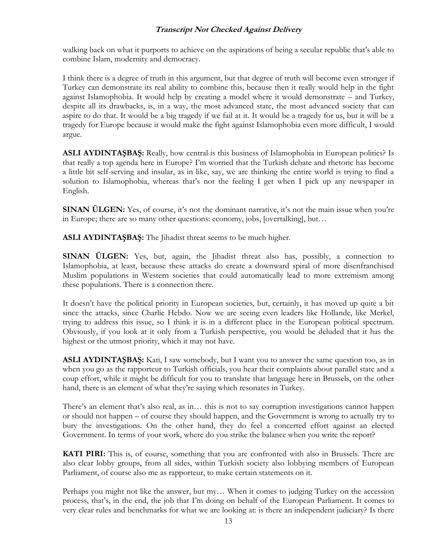walking back on what it purports to achieve on the aspirations of being a secular republic that's able to combine Islam, modernity and democracy.

I think there is a degree of truth in this argument, but that degree of truth will become even stronger if Turkey can demonstrate its real ability to combine this, because then it really would help in the fight against Islamophobia. It would help by creating a model where it would demonstrate – and Turkey, despite all its drawbacks, is, in a way, the most advanced state, the most advanced society that can aspire to do that. It would be a big tragedy if we fail at it. It would be a tragedy for us, but it will be a tragedy for Europe because it would make the fight against Islamophobia even more difficult, I would argue.

**ASLI AYDINTAŞBAŞ:** Really, how central is this business of Islamophobia in European politics? Is that really a top agenda here in Europe? I'm worried that the Turkish debate and rhetoric has become a little bit self-serving and insular, as in like, say, we are thinking the entire world is trying to find a solution to Islamophobia, whereas that's not the feeling I get when I pick up any newspaper in English.

**SINAN ÜLGEN:** Yes, of course, it's not the dominant narrative, it's not the main issue when you're in Europe; there are so many other questions: economy, jobs, [overtalking], but…

**ASLI AYDINTAŞBAŞ:** The Jihadist threat seems to be much higher.

**SINAN ÜLGEN:** Yes, but, again, the Jihadist threat also has, possibly, a connection to Islamophobia, at least, because these attacks do create a downward spiral of more disenfranchised Muslim populations in Western societies that could automatically lead to more extremism among these populations. There is a connection there.

It doesn't have the political priority in European societies, but, certainly, it has moved up quite a bit since the attacks, since Charlie Hebdo. Now we are seeing even leaders like Hollande, like Merkel, trying to address this issue, so I think it is in a different place in the European political spectrum. Obviously, if you look at it only from a Turkish perspective, you would be deluded that it has the highest or the utmost priority, which it may not have.

**ASLI AYDINTAŞBAŞ:** Kati, I saw somebody, but I want you to answer the same question too, as in when you go as the rapporteur to Turkish officials, you hear their complaints about parallel state and a coup effort, while it might be difficult for you to translate that language here in Brussels, on the other hand, there is an element of what they're saying which resonates in Turkey.

There's an element that's also real, as in… this is not to say corruption investigations cannot happen or should not happen – of course they should happen, and the Government is wrong to actually try to bury the investigations. On the other hand, they do feel a concerted effort against an elected Government. In terms of your work, where do you strike the balance when you write the report?

**KATI PIRI:** This is, of course, something that you are confronted with also in Brussels. There are also clear lobby groups, from all sides, within Turkish society also lobbying members of European Parliament, of course also me as rapporteur, to make certain statements on it.

Perhaps you might not like the answer, but my… When it comes to judging Turkey on the accession process, that's, in the end, the job that I'm doing on behalf of the European Parliament. It comes to very clear rules and benchmarks for what we are looking at: is there an independent judiciary? Is there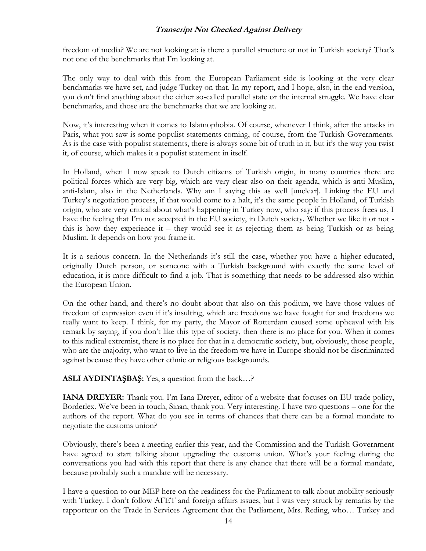freedom of media? We are not looking at: is there a parallel structure or not in Turkish society? That's not one of the benchmarks that I'm looking at.

The only way to deal with this from the European Parliament side is looking at the very clear benchmarks we have set, and judge Turkey on that. In my report, and I hope, also, in the end version, you don't find anything about the either so-called parallel state or the internal struggle. We have clear benchmarks, and those are the benchmarks that we are looking at.

Now, it's interesting when it comes to Islamophobia. Of course, whenever I think, after the attacks in Paris, what you saw is some populist statements coming, of course, from the Turkish Governments. As is the case with populist statements, there is always some bit of truth in it, but it's the way you twist it, of course, which makes it a populist statement in itself.

In Holland, when I now speak to Dutch citizens of Turkish origin, in many countries there are political forces which are very big, which are very clear also on their agenda, which is anti-Muslim, anti-Islam, also in the Netherlands. Why am I saying this as well [unclear]. Linking the EU and Turkey's negotiation process, if that would come to a halt, it's the same people in Holland, of Turkish origin, who are very critical about what's happening in Turkey now, who say: if this process frees us, I have the feeling that I'm not accepted in the EU society, in Dutch society. Whether we like it or not this is how they experience it – they would see it as rejecting them as being Turkish or as being Muslim. It depends on how you frame it.

It is a serious concern. In the Netherlands it's still the case, whether you have a higher-educated, originally Dutch person, or someone with a Turkish background with exactly the same level of education, it is more difficult to find a job. That is something that needs to be addressed also within the European Union.

On the other hand, and there's no doubt about that also on this podium, we have those values of freedom of expression even if it's insulting, which are freedoms we have fought for and freedoms we really want to keep. I think, for my party, the Mayor of Rotterdam caused some upheaval with his remark by saying, if you don't like this type of society, then there is no place for you. When it comes to this radical extremist, there is no place for that in a democratic society, but, obviously, those people, who are the majority, who want to live in the freedom we have in Europe should not be discriminated against because they have other ethnic or religious backgrounds.

**ASLI AYDINTAŞBAŞ:** Yes, a question from the back…?

**IANA DREYER:** Thank you. I'm Iana Dreyer, editor of a website that focuses on EU trade policy, Borderlex. We've been in touch, Sinan, thank you. Very interesting. I have two questions – one for the authors of the report. What do you see in terms of chances that there can be a formal mandate to negotiate the customs union?

Obviously, there's been a meeting earlier this year, and the Commission and the Turkish Government have agreed to start talking about upgrading the customs union. What's your feeling during the conversations you had with this report that there is any chance that there will be a formal mandate, because probably such a mandate will be necessary.

I have a question to our MEP here on the readiness for the Parliament to talk about mobility seriously with Turkey. I don't follow AFET and foreign affairs issues, but I was very struck by remarks by the rapporteur on the Trade in Services Agreement that the Parliament, Mrs. Reding, who… Turkey and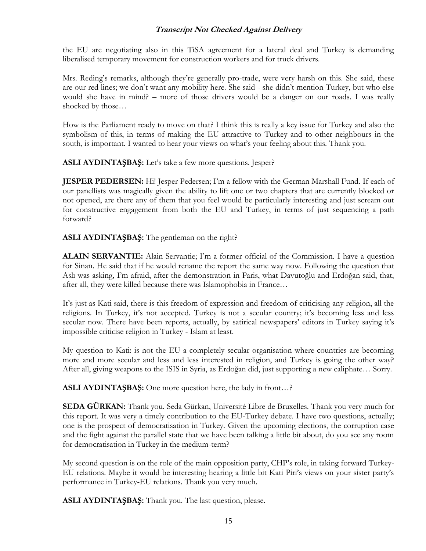the EU are negotiating also in this TiSA agreement for a lateral deal and Turkey is demanding liberalised temporary movement for construction workers and for truck drivers.

Mrs. Reding's remarks, although they're generally pro-trade, were very harsh on this. She said, these are our red lines; we don't want any mobility here. She said - she didn't mention Turkey, but who else would she have in mind? – more of those drivers would be a danger on our roads. I was really shocked by those…

How is the Parliament ready to move on that? I think this is really a key issue for Turkey and also the symbolism of this, in terms of making the EU attractive to Turkey and to other neighbours in the south, is important. I wanted to hear your views on what's your feeling about this. Thank you.

**ASLI AYDINTAŞBAŞ:** Let's take a few more questions. Jesper?

**JESPER PEDERSEN:** Hi! Jesper Pedersen; I'm a fellow with the German Marshall Fund. If each of our panellists was magically given the ability to lift one or two chapters that are currently blocked or not opened, are there any of them that you feel would be particularly interesting and just scream out for constructive engagement from both the EU and Turkey, in terms of just sequencing a path forward?

**ASLI AYDINTAŞBAŞ:** The gentleman on the right?

**ALAIN SERVANTIE:** Alain Servantie; I'm a former official of the Commission. I have a question for Sinan. He said that if he would rename the report the same way now. Following the question that Aslı was asking, I'm afraid, after the demonstration in Paris, what Davutoğlu and Erdoğan said, that, after all, they were killed because there was Islamophobia in France…

It's just as Kati said, there is this freedom of expression and freedom of criticising any religion, all the religions. In Turkey, it's not accepted. Turkey is not a secular country; it's becoming less and less secular now. There have been reports, actually, by satirical newspapers' editors in Turkey saying it's impossible criticise religion in Turkey - Islam at least.

My question to Kati: is not the EU a completely secular organisation where countries are becoming more and more secular and less and less interested in religion, and Turkey is going the other way? After all, giving weapons to the ISIS in Syria, as Erdoğan did, just supporting a new caliphate… Sorry.

**ASLI AYDINTAŞBAŞ:** One more question here, the lady in front…?

**SEDA GÜRKAN:** Thank you. Seda Gürkan, Université Libre de Bruxelles. Thank you very much for this report. It was very a timely contribution to the EU-Turkey debate. I have two questions, actually; one is the prospect of democratisation in Turkey. Given the upcoming elections, the corruption case and the fight against the parallel state that we have been talking a little bit about, do you see any room for democratisation in Turkey in the medium-term?

My second question is on the role of the main opposition party, CHP's role, in taking forward Turkey-EU relations. Maybe it would be interesting hearing a little bit Kati Piri's views on your sister party's performance in Turkey-EU relations. Thank you very much.

**ASLI AYDINTAŞBAŞ:** Thank you. The last question, please.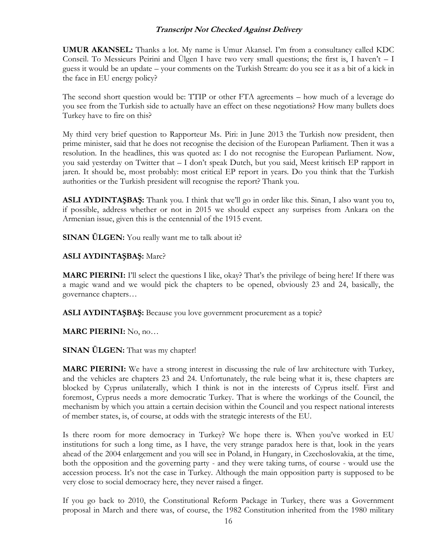**UMUR AKANSEL:** Thanks a lot. My name is Umur Akansel. I'm from a consultancy called KDC Conseil. To Messieurs Peirini and Ülgen I have two very small questions; the first is, I haven't – I guess it would be an update – your comments on the Turkish Stream: do you see it as a bit of a kick in the face in EU energy policy?

The second short question would be: TTIP or other FTA agreements – how much of a leverage do you see from the Turkish side to actually have an effect on these negotiations? How many bullets does Turkey have to fire on this?

My third very brief question to Rapporteur Ms. Piri: in June 2013 the Turkish now president, then prime minister, said that he does not recognise the decision of the European Parliament. Then it was a resolution. In the headlines, this was quoted as: I do not recognise the European Parliament. Now, you said yesterday on Twitter that – I don't speak Dutch, but you said, Meest kritisch EP rapport in jaren. It should be, most probably: most critical EP report in years. Do you think that the Turkish authorities or the Turkish president will recognise the report? Thank you.

**ASLI AYDINTAŞBAŞ:** Thank you. I think that we'll go in order like this. Sinan, I also want you to, if possible, address whether or not in 2015 we should expect any surprises from Ankara on the Armenian issue, given this is the centennial of the 1915 event.

**SINAN ÜLGEN:** You really want me to talk about it?

#### **ASLI AYDINTAŞBAŞ:** Marc?

**MARC PIERINI:** I'll select the questions I like, okay? That's the privilege of being here! If there was a magic wand and we would pick the chapters to be opened, obviously 23 and 24, basically, the governance chapters…

**ASLI AYDINTAŞBAŞ:** Because you love government procurement as a topic?

**MARC PIERINI:** No, no…

**SINAN ÜLGEN:** That was my chapter!

**MARC PIERINI:** We have a strong interest in discussing the rule of law architecture with Turkey, and the vehicles are chapters 23 and 24. Unfortunately, the rule being what it is, these chapters are blocked by Cyprus unilaterally, which I think is not in the interests of Cyprus itself. First and foremost, Cyprus needs a more democratic Turkey. That is where the workings of the Council, the mechanism by which you attain a certain decision within the Council and you respect national interests of member states, is, of course, at odds with the strategic interests of the EU.

Is there room for more democracy in Turkey? We hope there is. When you've worked in EU institutions for such a long time, as I have, the very strange paradox here is that, look in the years ahead of the 2004 enlargement and you will see in Poland, in Hungary, in Czechoslovakia, at the time, both the opposition and the governing party - and they were taking turns, of course - would use the accession process. It's not the case in Turkey. Although the main opposition party is supposed to be very close to social democracy here, they never raised a finger.

If you go back to 2010, the Constitutional Reform Package in Turkey, there was a Government proposal in March and there was, of course, the 1982 Constitution inherited from the 1980 military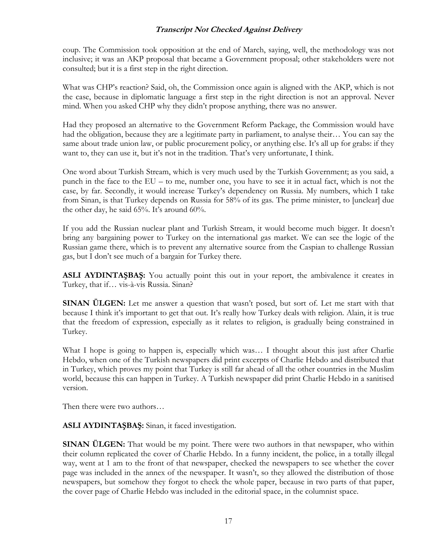coup. The Commission took opposition at the end of March, saying, well, the methodology was not inclusive; it was an AKP proposal that became a Government proposal; other stakeholders were not consulted; but it is a first step in the right direction.

What was CHP's reaction? Said, oh, the Commission once again is aligned with the AKP, which is not the case, because in diplomatic language a first step in the right direction is not an approval. Never mind. When you asked CHP why they didn't propose anything, there was no answer.

Had they proposed an alternative to the Government Reform Package, the Commission would have had the obligation, because they are a legitimate party in parliament, to analyse their… You can say the same about trade union law, or public procurement policy, or anything else. It's all up for grabs: if they want to, they can use it, but it's not in the tradition. That's very unfortunate, I think.

One word about Turkish Stream, which is very much used by the Turkish Government; as you said, a punch in the face to the EU – to me, number one, you have to see it in actual fact, which is not the case, by far. Secondly, it would increase Turkey's dependency on Russia. My numbers, which I take from Sinan, is that Turkey depends on Russia for 58% of its gas. The prime minister, to [unclear] due the other day, he said 65%. It's around 60%.

If you add the Russian nuclear plant and Turkish Stream, it would become much bigger. It doesn't bring any bargaining power to Turkey on the international gas market. We can see the logic of the Russian game there, which is to prevent any alternative source from the Caspian to challenge Russian gas, but I don't see much of a bargain for Turkey there.

**ASLI AYDINTAŞBAŞ:** You actually point this out in your report, the ambivalence it creates in Turkey, that if… vis-à-vis Russia. Sinan?

**SINAN ÜLGEN:** Let me answer a question that wasn't posed, but sort of. Let me start with that because I think it's important to get that out. It's really how Turkey deals with religion. Alain, it is true that the freedom of expression, especially as it relates to religion, is gradually being constrained in Turkey.

What I hope is going to happen is, especially which was... I thought about this just after Charlie Hebdo, when one of the Turkish newspapers did print excerpts of Charlie Hebdo and distributed that in Turkey, which proves my point that Turkey is still far ahead of all the other countries in the Muslim world, because this can happen in Turkey. A Turkish newspaper did print Charlie Hebdo in a sanitised version.

Then there were two authors…

**ASLI AYDINTAŞBAŞ:** Sinan, it faced investigation.

**SINAN ÜLGEN:** That would be my point. There were two authors in that newspaper, who within their column replicated the cover of Charlie Hebdo. In a funny incident, the police, in a totally illegal way, went at 1 am to the front of that newspaper, checked the newspapers to see whether the cover page was included in the annex of the newspaper. It wasn't, so they allowed the distribution of those newspapers, but somehow they forgot to check the whole paper, because in two parts of that paper, the cover page of Charlie Hebdo was included in the editorial space, in the columnist space.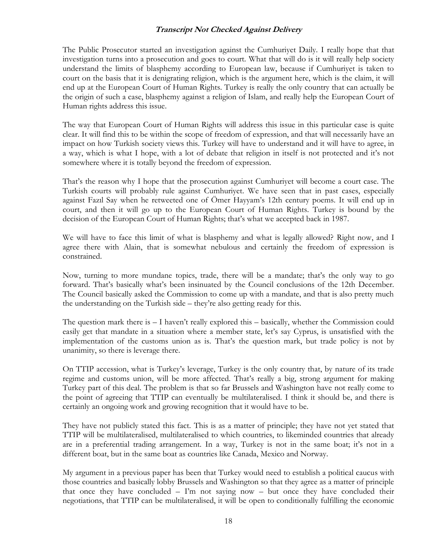The Public Prosecutor started an investigation against the Cumhuriyet Daily. I really hope that that investigation turns into a prosecution and goes to court. What that will do is it will really help society understand the limits of blasphemy according to European law, because if Cumhuriyet is taken to court on the basis that it is denigrating religion, which is the argument here, which is the claim, it will end up at the European Court of Human Rights. Turkey is really the only country that can actually be the origin of such a case, blasphemy against a religion of Islam, and really help the European Court of Human rights address this issue.

The way that European Court of Human Rights will address this issue in this particular case is quite clear. It will find this to be within the scope of freedom of expression, and that will necessarily have an impact on how Turkish society views this. Turkey will have to understand and it will have to agree, in a way, which is what I hope, with a lot of debate that religion in itself is not protected and it's not somewhere where it is totally beyond the freedom of expression.

That's the reason why I hope that the prosecution against Cumhuriyet will become a court case. The Turkish courts will probably rule against Cumhuriyet. We have seen that in past cases, especially against Fazıl Say when he retweeted one of Ömer Hayyam's 12th century poems. It will end up in court, and then it will go up to the European Court of Human Rights. Turkey is bound by the decision of the European Court of Human Rights; that's what we accepted back in 1987.

We will have to face this limit of what is blasphemy and what is legally allowed? Right now, and I agree there with Alain, that is somewhat nebulous and certainly the freedom of expression is constrained.

Now, turning to more mundane topics, trade, there will be a mandate; that's the only way to go forward. That's basically what's been insinuated by the Council conclusions of the 12th December. The Council basically asked the Commission to come up with a mandate, and that is also pretty much the understanding on the Turkish side – they're also getting ready for this.

The question mark there is – I haven't really explored this – basically, whether the Commission could easily get that mandate in a situation where a member state, let's say Cyprus, is unsatisfied with the implementation of the customs union as is. That's the question mark, but trade policy is not by unanimity, so there is leverage there.

On TTIP accession, what is Turkey's leverage, Turkey is the only country that, by nature of its trade regime and customs union, will be more affected. That's really a big, strong argument for making Turkey part of this deal. The problem is that so far Brussels and Washington have not really come to the point of agreeing that TTIP can eventually be multilateralised. I think it should be, and there is certainly an ongoing work and growing recognition that it would have to be.

They have not publicly stated this fact. This is as a matter of principle; they have not yet stated that TTIP will be multilateralised, multilateralised to which countries, to likeminded countries that already are in a preferential trading arrangement. In a way, Turkey is not in the same boat; it's not in a different boat, but in the same boat as countries like Canada, Mexico and Norway.

My argument in a previous paper has been that Turkey would need to establish a political caucus with those countries and basically lobby Brussels and Washington so that they agree as a matter of principle that once they have concluded – I'm not saying now – but once they have concluded their negotiations, that TTIP can be multilateralised, it will be open to conditionally fulfilling the economic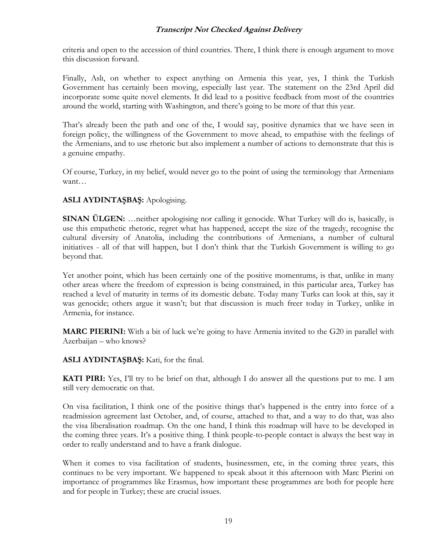criteria and open to the accession of third countries. There, I think there is enough argument to move this discussion forward.

Finally, Aslı, on whether to expect anything on Armenia this year, yes, I think the Turkish Government has certainly been moving, especially last year. The statement on the 23rd April did incorporate some quite novel elements. It did lead to a positive feedback from most of the countries around the world, starting with Washington, and there's going to be more of that this year.

That's already been the path and one of the, I would say, positive dynamics that we have seen in foreign policy, the willingness of the Government to move ahead, to empathise with the feelings of the Armenians, and to use rhetoric but also implement a number of actions to demonstrate that this is a genuine empathy.

Of course, Turkey, in my belief, would never go to the point of using the terminology that Armenians want…

#### **ASLI AYDINTAŞBAŞ:** Apologising.

**SINAN ÜLGEN:** …neither apologising nor calling it genocide. What Turkey will do is, basically, is use this empathetic rhetoric, regret what has happened, accept the size of the tragedy, recognise the cultural diversity of Anatolia, including the contributions of Armenians, a number of cultural initiatives - all of that will happen, but I don't think that the Turkish Government is willing to go beyond that.

Yet another point, which has been certainly one of the positive momentums, is that, unlike in many other areas where the freedom of expression is being constrained, in this particular area, Turkey has reached a level of maturity in terms of its domestic debate. Today many Turks can look at this, say it was genocide; others argue it wasn't; but that discussion is much freer today in Turkey, unlike in Armenia, for instance.

**MARC PIERINI:** With a bit of luck we're going to have Armenia invited to the G20 in parallel with Azerbaijan – who knows?

**ASLI AYDINTAŞBAŞ:** Kati, for the final.

**KATI PIRI:** Yes, I'll try to be brief on that, although I do answer all the questions put to me. I am still very democratic on that.

On visa facilitation, I think one of the positive things that's happened is the entry into force of a readmission agreement last October, and, of course, attached to that, and a way to do that, was also the visa liberalisation roadmap. On the one hand, I think this roadmap will have to be developed in the coming three years. It's a positive thing. I think people-to-people contact is always the best way in order to really understand and to have a frank dialogue.

When it comes to visa facilitation of students, businessmen, etc, in the coming three years, this continues to be very important. We happened to speak about it this afternoon with Marc Pierini on importance of programmes like Erasmus, how important these programmes are both for people here and for people in Turkey; these are crucial issues.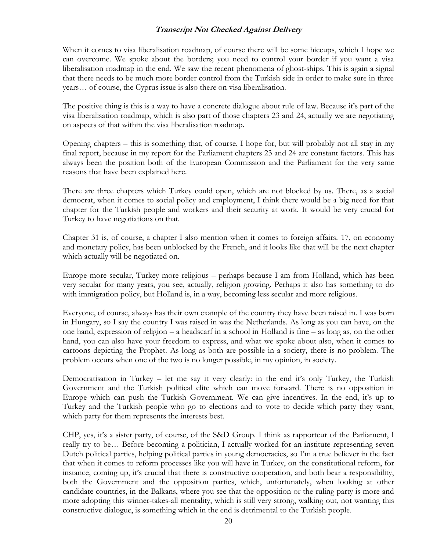When it comes to visa liberalisation roadmap, of course there will be some hiccups, which I hope we can overcome. We spoke about the borders; you need to control your border if you want a visa liberalisation roadmap in the end. We saw the recent phenomena of ghost-ships. This is again a signal that there needs to be much more border control from the Turkish side in order to make sure in three years… of course, the Cyprus issue is also there on visa liberalisation.

The positive thing is this is a way to have a concrete dialogue about rule of law. Because it's part of the visa liberalisation roadmap, which is also part of those chapters 23 and 24, actually we are negotiating on aspects of that within the visa liberalisation roadmap.

Opening chapters – this is something that, of course, I hope for, but will probably not all stay in my final report, because in my report for the Parliament chapters 23 and 24 are constant factors. This has always been the position both of the European Commission and the Parliament for the very same reasons that have been explained here.

There are three chapters which Turkey could open, which are not blocked by us. There, as a social democrat, when it comes to social policy and employment, I think there would be a big need for that chapter for the Turkish people and workers and their security at work. It would be very crucial for Turkey to have negotiations on that.

Chapter 31 is, of course, a chapter I also mention when it comes to foreign affairs. 17, on economy and monetary policy, has been unblocked by the French, and it looks like that will be the next chapter which actually will be negotiated on.

Europe more secular, Turkey more religious – perhaps because I am from Holland, which has been very secular for many years, you see, actually, religion growing. Perhaps it also has something to do with immigration policy, but Holland is, in a way, becoming less secular and more religious.

Everyone, of course, always has their own example of the country they have been raised in. I was born in Hungary, so I say the country I was raised in was the Netherlands. As long as you can have, on the one hand, expression of religion – a headscarf in a school in Holland is fine – as long as, on the other hand, you can also have your freedom to express, and what we spoke about also, when it comes to cartoons depicting the Prophet. As long as both are possible in a society, there is no problem. The problem occurs when one of the two is no longer possible, in my opinion, in society.

Democratisation in Turkey – let me say it very clearly: in the end it's only Turkey, the Turkish Government and the Turkish political elite which can move forward. There is no opposition in Europe which can push the Turkish Government. We can give incentives. In the end, it's up to Turkey and the Turkish people who go to elections and to vote to decide which party they want, which party for them represents the interests best.

CHP, yes, it's a sister party, of course, of the S&D Group. I think as rapporteur of the Parliament, I really try to be… Before becoming a politician, I actually worked for an institute representing seven Dutch political parties, helping political parties in young democracies, so I'm a true believer in the fact that when it comes to reform processes like you will have in Turkey, on the constitutional reform, for instance, coming up, it's crucial that there is constructive cooperation, and both bear a responsibility, both the Government and the opposition parties, which, unfortunately, when looking at other candidate countries, in the Balkans, where you see that the opposition or the ruling party is more and more adopting this winner-takes-all mentality, which is still very strong, walking out, not wanting this constructive dialogue, is something which in the end is detrimental to the Turkish people.